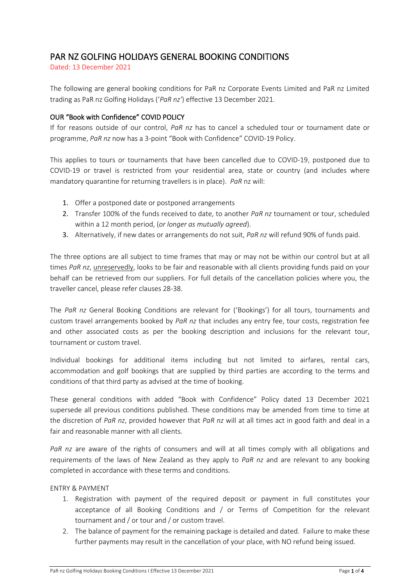# PAR NZ GOLFING HOLIDAYS GENERAL BOOKING CONDITIONS

Dated: 13 December 2021

The following are general booking conditions for PaR nz Corporate Events Limited and PaR nz Limited trading as PaR nz Golfing Holidays ('*PaR nz'*) effective 13 December 2021.

# OUR "Book with Confidence" COVID POLICY

If for reasons outside of our control, *PaR nz* has to cancel a scheduled tour or tournament date or programme, *PaR nz* now has a 3-point "Book with Confidence" COVID-19 Policy.

This applies to tours or tournaments that have been cancelled due to COVID-19, postponed due to COVID-19 or travel is restricted from your residential area, state or country (and includes where mandatory quarantine for returning travellers is in place). *PaR* nz will:

- 1. Offer a postponed date or postponed arrangements
- 2. Transfer 100% of the funds received to date, to another *PaR nz* tournament or tour, scheduled within a 12 month period, (*or longer as mutually agreed*).
- 3. Alternatively, if new dates or arrangements do not suit, *PaR nz* will refund 90% of funds paid.

The three options are all subject to time frames that may or may not be within our control but at all times *PaR nz*, unreservedly, looks to be fair and reasonable with all clients providing funds paid on your behalf can be retrieved from our suppliers. For full details of the cancellation policies where you, the traveller cancel, please refer clauses 28-38.

The *PaR nz* General Booking Conditions are relevant for ('Bookings') for all tours, tournaments and custom travel arrangements booked by *PaR nz* that includes any entry fee, tour costs, registration fee and other associated costs as per the booking description and inclusions for the relevant tour, tournament or custom travel.

Individual bookings for additional items including but not limited to airfares, rental cars, accommodation and golf bookings that are supplied by third parties are according to the terms and conditions of that third party as advised at the time of booking.

These general conditions with added "Book with Confidence" Policy dated 13 December 2021 supersede all previous conditions published. These conditions may be amended from time to time at the discretion of *PaR nz*, provided however that *PaR nz* will at all times act in good faith and deal in a fair and reasonable manner with all clients.

*PaR nz* are aware of the rights of consumers and will at all times comply with all obligations and requirements of the laws of New Zealand as they apply to *PaR nz* and are relevant to any booking completed in accordance with these terms and conditions.

# ENTRY & PAYMENT

- 1. Registration with payment of the required deposit or payment in full constitutes your acceptance of all Booking Conditions and / or Terms of Competition for the relevant tournament and / or tour and / or custom travel.
- 2. The balance of payment for the remaining package is detailed and dated. Failure to make these further payments may result in the cancellation of your place, with NO refund being issued.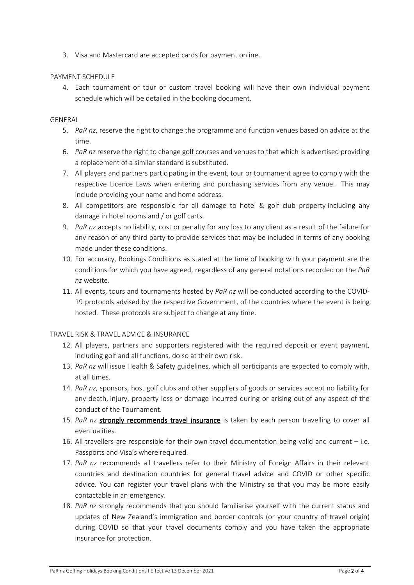3. Visa and Mastercard are accepted cards for payment online.

## PAYMENT SCHEDULE

4. Each tournament or tour or custom travel booking will have their own individual payment schedule which will be detailed in the booking document.

## GENERAL

- 5. *PaR nz*, reserve the right to change the programme and function venues based on advice at the time.
- 6. *PaR nz* reserve the right to change golf courses and venues to that which is advertised providing a replacement of a similar standard is substituted.
- 7. All players and partners participating in the event, tour or tournament agree to comply with the respective Licence Laws when entering and purchasing services from any venue. This may include providing your name and home address.
- 8. All competitors are responsible for all damage to hotel & golf club property including any damage in hotel rooms and / or golf carts.
- 9. *PaR nz* accepts no liability, cost or penalty for any loss to any client as a result of the failure for any reason of any third party to provide services that may be included in terms of any booking made under these conditions.
- 10. For accuracy, Bookings Conditions as stated at the time of booking with your payment are the conditions for which you have agreed, regardless of any general notations recorded on the *PaR nz* website.
- 11. All events, tours and tournaments hosted by *PaR nz* will be conducted according to the COVID-19 protocols advised by the respective Government, of the countries where the event is being hosted. These protocols are subject to change at any time.

#### TRAVEL RISK & TRAVEL ADVICE & INSURANCE

- 12. All players, partners and supporters registered with the required deposit or event payment, including golf and all functions, do so at their own risk.
- 13. *PaR nz* will issue Health & Safety guidelines, which all participants are expected to comply with, at all times.
- 14. *PaR nz*, sponsors, host golf clubs and other suppliers of goods or services accept no liability for any death, injury, property loss or damage incurred during or arising out of any aspect of the conduct of the Tournament.
- 15. PaR nz strongly recommends travel insurance is taken by each person travelling to cover all eventualities.
- 16. All travellers are responsible for their own travel documentation being valid and current i.e. Passports and Visa's where required.
- 17. *PaR nz* recommends all travellers refer to their Ministry of Foreign Affairs in their relevant countries and destination countries for general travel advice and COVID or other specific advice. You can register your travel plans with the Ministry so that you may be more easily contactable in an emergency.
- 18. *PaR nz* strongly recommends that you should familiarise yourself with the current status and updates of New Zealand's immigration and border controls (or your country of travel origin) during COVID so that your travel documents comply and you have taken the appropriate insurance for protection.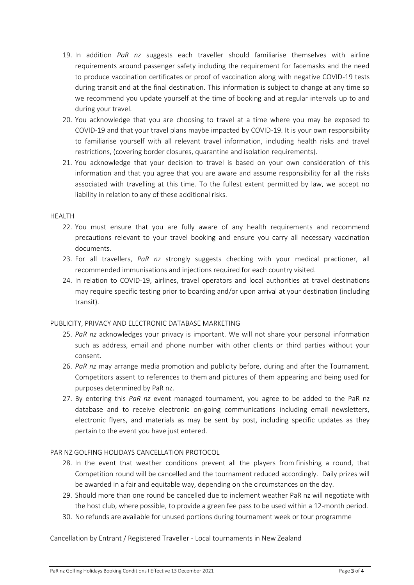- 19. In addition *PaR nz* suggests each traveller should familiarise themselves with airline requirements around passenger safety including the requirement for facemasks and the need to produce vaccination certificates or proof of vaccination along with negative COVID-19 tests during transit and at the final destination. This information is subject to change at any time so we recommend you update yourself at the time of booking and at regular intervals up to and during your travel.
- 20. You acknowledge that you are choosing to travel at a time where you may be exposed to COVID-19 and that your travel plans maybe impacted by COVID-19. It is your own responsibility to familiarise yourself with all relevant travel information, including health risks and travel restrictions, (covering border closures, quarantine and isolation requirements).
- 21. You acknowledge that your decision to travel is based on your own consideration of this information and that you agree that you are aware and assume responsibility for all the risks associated with travelling at this time. To the fullest extent permitted by law, we accept no liability in relation to any of these additional risks.

#### HEALTH

- 22. You must ensure that you are fully aware of any health requirements and recommend precautions relevant to your travel booking and ensure you carry all necessary vaccination documents.
- 23. For all travellers, *PaR nz* strongly suggests checking with your medical practioner, all recommended immunisations and injections required for each country visited.
- 24. In relation to COVID-19, airlines, travel operators and local authorities at travel destinations may require specific testing prior to boarding and/or upon arrival at your destination (including transit).

# PUBLICITY, PRIVACY AND ELECTRONIC DATABASE MARKETING

- 25. *PaR nz* acknowledges your privacy is important. We will not share your personal information such as address, email and phone number with other clients or third parties without your consent.
- 26. *PaR nz* may arrange media promotion and publicity before, during and after the Tournament. Competitors assent to references to them and pictures of them appearing and being used for purposes determined by PaR nz.
- 27. By entering this *PaR nz* event managed tournament, you agree to be added to the PaR nz database and to receive electronic on-going communications including email newsletters, electronic flyers, and materials as may be sent by post, including specific updates as they pertain to the event you have just entered.

# PAR NZ GOLFING HOLIDAYS CANCELLATION PROTOCOL

- 28. In the event that weather conditions prevent all the players from finishing a round, that Competition round will be cancelled and the tournament reduced accordingly. Daily prizes will be awarded in a fair and equitable way, depending on the circumstances on the day.
- 29. Should more than one round be cancelled due to inclement weather PaR nz will negotiate with the host club, where possible, to provide a green fee pass to be used within a 12-month period.
- 30. No refunds are available for unused portions during tournament week or tour programme

Cancellation by Entrant / Registered Traveller - Local tournaments in New Zealand

PaR nz Golfing Holidays Booking Conditions I Effective 13 December 2021 Page 3 of 4